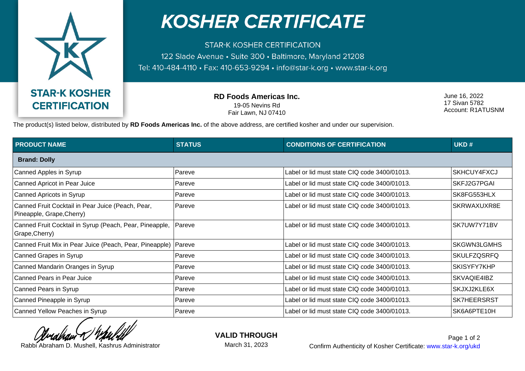

## **KOSHER CERTIFICATE**

**STAR-K KOSHER CERTIFICATION** 122 Slade Avenue · Suite 300 · Baltimore, Maryland 21208 Tel: 410-484-4110 · Fax: 410-653-9294 · info@star-k.org · www.star-k.org

> **RD Foods Americas Inc.** 19-05 Nevins Rd Fair Lawn, NJ 07410

June 16, 2022 17 Sivan 5782 Account: R1ATUSNM

The product(s) listed below, distributed by **RD Foods Americas Inc.** of the above address, are certified kosher and under our supervision.

| <b>PRODUCT NAME</b>                                                            | <b>STATUS</b> | <b>CONDITIONS OF CERTIFICATION</b>           | UKD#               |  |
|--------------------------------------------------------------------------------|---------------|----------------------------------------------|--------------------|--|
| <b>Brand: Dolly</b>                                                            |               |                                              |                    |  |
| Canned Apples in Syrup                                                         | Pareve        | Label or lid must state CIQ code 3400/01013. | SKHCUY4FXCJ        |  |
| Canned Apricot in Pear Juice                                                   | Pareve        | Label or lid must state CIQ code 3400/01013. | SKFJ2G7PGAI        |  |
| Canned Apricots in Syrup                                                       | Pareve        | Label or lid must state CIQ code 3400/01013. | SK8FG553HLX        |  |
| Canned Fruit Cocktail in Pear Juice (Peach, Pear,<br>Pineapple, Grape, Cherry) | Pareve        | Label or lid must state CIQ code 3400/01013. | SKRWAXUXR8E        |  |
| Canned Fruit Cocktail in Syrup (Peach, Pear, Pineapple,<br>Grape, Cherry)      | Pareve        | Label or lid must state CIQ code 3400/01013. | SK7UW7Y71BV        |  |
| Canned Fruit Mix in Pear Juice (Peach, Pear, Pineapple)                        | Pareve        | Label or lid must state CIQ code 3400/01013. | <b>SKGWN3LGMHS</b> |  |
| Canned Grapes in Syrup                                                         | Pareve        | Label or lid must state CIQ code 3400/01013. | <b>SKULFZQSRFQ</b> |  |
| Canned Mandarin Oranges in Syrup                                               | Pareve        | Label or lid must state CIQ code 3400/01013. | SKISYFY7KHP        |  |
| Canned Pears in Pear Juice                                                     | Pareve        | Label or lid must state CIQ code 3400/01013. | SKVAQIE4IBZ        |  |
| Canned Pears in Syrup                                                          | Pareve        | Label or lid must state CIQ code 3400/01013. | SKJXJ2KLE6X        |  |
| Canned Pineapple in Syrup                                                      | Pareve        | Label or lid must state CIQ code 3400/01013. | <b>SK7HEERSRST</b> |  |
| Canned Yellow Peaches in Syrup                                                 | Pareve        | Label or lid must state CIQ code 3400/01013. | SK6A6PTE10H        |  |

**VALID THROUGH**

March 31, 2023

Rabbi Abraham D. Mushell, Kashrus Administrator **Confirm Authenticity of Kosher Certificate:** www.star-k.org/ukd Page 1 of 2